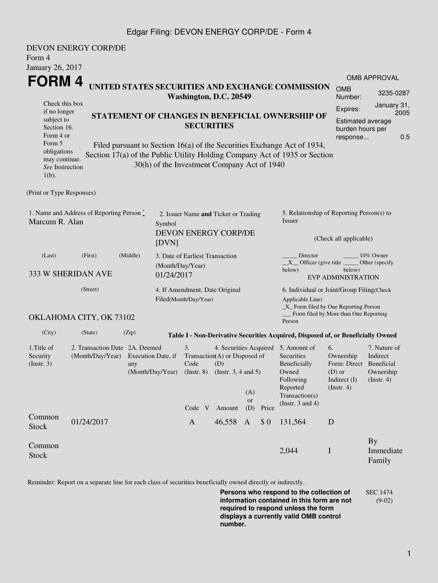## Edgar Filing: DEVON ENERGY CORP/DE - Form 4

| Form 4<br>January 26, 2017                                                                                                                                   | <b>DEVON ENERGY CORP/DE</b>                                                     |       |  |                                                                                                                                                                                               |        |                                                                                                                                              |     |                                                                                                                                                                                                          |                                                                                              |                                                     |
|--------------------------------------------------------------------------------------------------------------------------------------------------------------|---------------------------------------------------------------------------------|-------|--|-----------------------------------------------------------------------------------------------------------------------------------------------------------------------------------------------|--------|----------------------------------------------------------------------------------------------------------------------------------------------|-----|----------------------------------------------------------------------------------------------------------------------------------------------------------------------------------------------------------|----------------------------------------------------------------------------------------------|-----------------------------------------------------|
| FORM 4<br>UNITED STATES SECURITIES AND EXCHANGE COMMISSION<br>Washington, D.C. 20549<br>Check this box                                                       |                                                                                 |       |  |                                                                                                                                                                                               |        |                                                                                                                                              |     |                                                                                                                                                                                                          | <b>OMB</b><br>Number:<br>Expires:                                                            | <b>OMB APPROVAL</b><br>3235-0287<br>January 31,     |
| if no longer<br>subject to<br>Section 16.<br>Form 4 or<br>Form 5<br>obligations<br>may continue.<br>See Instruction<br>$1(b)$ .<br>(Print or Type Responses) |                                                                                 |       |  | <b>SECURITIES</b><br>30(h) of the Investment Company Act of 1940                                                                                                                              |        |                                                                                                                                              |     | STATEMENT OF CHANGES IN BENEFICIAL OWNERSHIP OF<br>Filed pursuant to Section 16(a) of the Securities Exchange Act of 1934,<br>Section 17(a) of the Public Utility Holding Company Act of 1935 or Section | <b>Estimated average</b><br>burden hours per<br>response                                     | 2005<br>0.5                                         |
| 1. Name and Address of Reporting Person $\stackrel{*}{\mathbb{L}}$<br>Marcum R. Alan                                                                         | 2. Issuer Name and Ticker or Trading<br>Symbol<br>DEVON ENERGY CORP/DE<br>[DVN] |       |  |                                                                                                                                                                                               |        | 5. Relationship of Reporting Person(s) to<br><b>Issuer</b><br>(Check all applicable)                                                         |     |                                                                                                                                                                                                          |                                                                                              |                                                     |
| (Last)<br>333 W SHERIDAN AVE                                                                                                                                 | 3. Date of Earliest Transaction<br>(Month/Day/Year)<br>01/24/2017               |       |  |                                                                                                                                                                                               |        | Director<br>10% Owner<br>$X$ Officer (give title $\overline{\phantom{a}}$<br>Other (specify<br>below)<br>below)<br><b>EVP ADMINISTRATION</b> |     |                                                                                                                                                                                                          |                                                                                              |                                                     |
|                                                                                                                                                              | 4. If Amendment, Date Original<br>Filed(Month/Day/Year)                         |       |  |                                                                                                                                                                                               |        | 6. Individual or Joint/Group Filing(Check<br>Applicable Line)<br>_X_ Form filed by One Reporting Person                                      |     |                                                                                                                                                                                                          |                                                                                              |                                                     |
|                                                                                                                                                              | OKLAHOMA CITY, OK 73102                                                         |       |  |                                                                                                                                                                                               |        |                                                                                                                                              |     | Person                                                                                                                                                                                                   | Form filed by More than One Reporting                                                        |                                                     |
| (City)                                                                                                                                                       | (State)                                                                         | (Zip) |  |                                                                                                                                                                                               |        |                                                                                                                                              |     | Table I - Non-Derivative Securities Acquired, Disposed of, or Beneficially Owned                                                                                                                         |                                                                                              |                                                     |
| 1.Title of<br>Security<br>(Insert. 3)                                                                                                                        | 2. Transaction Date 2A. Deemed<br>(Month/Day/Year)<br>Execution Date, if<br>any |       |  | 4. Securities Acquired 5. Amount of<br>3.<br>Transaction(A) or Disposed of<br>Code<br>(D)<br>(Month/Day/Year) (Instr. 8) (Instr. 3, 4 and 5)<br>(A)<br>or<br>Amount<br>(D)<br>Code V<br>Price |        |                                                                                                                                              |     | Securities<br>Beneficially<br>Owned<br>Following<br>Reported<br>Transaction(s)<br>(Instr. $3$ and $4$ )                                                                                                  | 6.<br>Ownership<br>Form: Direct Beneficial<br>$(D)$ or<br>Indirect $(I)$<br>$($ Instr. 4 $)$ | 7. Nature of<br>Indirect<br>Ownership<br>(Instr. 4) |
| Common<br><b>Stock</b>                                                                                                                                       | 01/24/2017                                                                      |       |  | $\mathbf{A}$                                                                                                                                                                                  | 46,558 | A                                                                                                                                            | \$0 | 131,564                                                                                                                                                                                                  | D                                                                                            |                                                     |
| Common<br><b>Stock</b>                                                                                                                                       |                                                                                 |       |  |                                                                                                                                                                                               |        |                                                                                                                                              |     | 2,044                                                                                                                                                                                                    | $\bf I$                                                                                      | <b>By</b><br>Immediate<br>Family                    |

Reminder: Report on a separate line for each class of securities beneficially owned directly or indirectly.

**Persons who respond to the collection of information contained in this form are not required to respond unless the form displays a currently valid OMB control number.** SEC 1474 (9-02)